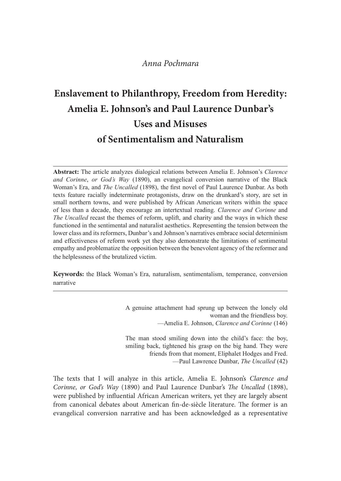# Anna Pochmara

# Enslavement to Philanthropy, Freedom from Heredity: Amelia E. Johnson's and Paul Laurence Dunbar's Uses and Misuses of Sentimentalism and Naturalism **Enslavement to Philanthropy, Freedom from Heredity:**<br> **Amelia E. Johnson's and Paul Laurence Dunbar's**<br>
Uses and Misuses<br>
of Sentimentalism and Naturalism<br>
Abstract: The article analyzes dialogical relations between Amel

Abstract: The article analyzes dialogical relations between Amelia E. Johnson's Clarence Woman's Era, and *The Uncalled* (1898), the first novel of Paul Laurence Dunbar. As both *Anna Pochmara*<br> **Enslavement to Philanthropy, Freedom from Heredity:**<br> **Amelia E. Johnson's and Paul Laurence Dunbar's**<br>
Uses and Misuses<br>
of Sentimentalism and Naturalism<br>
Abstract: The article analyzes dialogical relat **Enslavement to Philanthropy, Freedom from Heredity:**<br> **Amelia E. Johnson's and Paul Laurence Dunbar's**<br>
Uses and Misuses<br>
of Sentimentalism and Naturalism<br>
Abstract: The article analyzes dialogical relations between Amel **Enslavement to Philanthropy, Freedom from Heredity:**<br> **Amelia E. Johnson's and Paul Laurence Dunbar's**<br>
Uses and Misuses<br>
of Sentimentalism and Naturalism<br>
Abstract: The article analyzes dialogical relations between Amel The Uncalled recast the themes of reform, uplift, and charity and the ways in which these functioned in the sentimental and naturalist aesthetics. Representing the tension between the lower class and its reformers, Dunbar's and Johnson's narratives embrace social determinism **Amelia E. Johnson's and Paul Laurence Dunbar's**<br>Uses and Misuses<br>Of Sentimentalism and Naturalism<br>Abstract: The article analyzes dialogical relations between Amelia E. Johnson's *Clarence*<br>and Cortime, or God's *Hay* (189 empathy and problematize the opposition between the benevolent agency of the reformer and the helplessness of the brutalized victim. **Conformation Conformation Conformation Conformation Conformation Conformation Conformation Conformation Conformation Conformation Conformation Conformation Conformation Conformation Conformati** *zes* dialogical relations between Amelia E. Johnson's *Clarence*<br>*ny* (1890), an evangelical conversion narrative of the Black<br>*nlled* (1898), the first novel of Paul Laurence Dunbar. As both<br>*mimiate* protagonists, draw mannia proadcounsay, staat on one unanimal s story, as ex-<br>nowere published by African American writers within the space<br>encourage an intertextual reading. *Clarence and Corinne* and<br>nomes of reform, uplift, and charity a

narrative

woman and the friendless boy. —Amelia E. Johnson, *Clarence and Corinne* (146)

smiling back, tightened his grasp on the big hand. They were friends from that moment, Eliphalet Hodges and Fred. —Paul Lawrence Dunbar, The Uncalled (42)

The texts that I will analyze in this article, Amelia E. Johnson's Clarence and Corinne, or God's Way (1890) and Paul Laurence Dunbar's The Uncalled (1898), were published by influential African American writers, yet they are largely absent from canonical debates about American fin-de-siècle literature. The former is an evangelical conversion narrative and has been acknowledged as a representative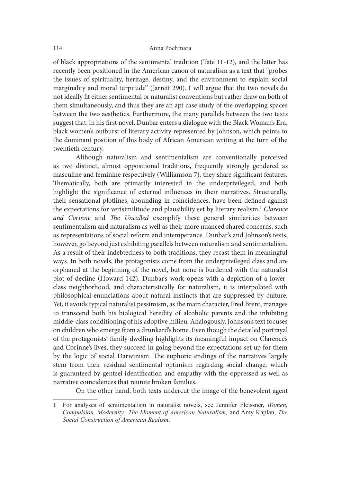of black appropriations of the sentimental tradition (Tate 11-12), and the latter has recently been positioned in the American canon of naturalism as a text that "probes the issues of spirituality, heritage, destiny, and the environment to explain social marginality and moral turpitude" (Jarrett 290). I will argue that the two novels do not ideally fit either sentimental or naturalist conventions but rather draw on both of them simultaneously, and thus they are an apt case study of the overlapping spaces between the two aesthetics. Furthermore, the many parallels between the two texts suggest that, in his first novel, Dunbar enters a dialogue with the Black Woman's Era, black women's outburst of literary activity represented by Johnson, which points to the dominant position of this body of African American writing at the turn of the twentieth century.

Although naturalism and sentimentalism are conventionally perceived as two distinct, almost oppositional traditions, frequently strongly gendered as masculine and feminine respectively (Williamson 7), they share significant features. Thematically, both are primarily interested in the underprivileged, and both highlight the significance of external influences in their narratives. Structurally, their sensational plotlines, abounding in coincidences, have been defined against the expectations for verisimilitude and plausibility set by literary realism.<sup>1</sup> Clarence and Corinne and The Uncalled exemplify these general similarities between sentimentalism and naturalism as well as their more nuanced shared concerns, such as representations of social reform and intemperance. Dunbar's and Johnson's texts, however, go beyond just exhibiting parallels between naturalism and sentimentalism. As a result of their indebtedness to both traditions, they recast them in meaningful ways. In both novels, the protagonists come from the underprivileged class and are orphaned at the beginning of the novel, but none is burdened with the naturalist plot of decline (Howard 142). Dunbar's work opens with a depiction of a lowerclass neighborhood, and characteristically for naturalism, it is interpolated with philosophical enunciations about natural instincts that are suppressed by culture. Yet, it avoids typical naturalist pessimism, as the main character, Fred Brent, manages to transcend both his biological heredity of alcoholic parents and the inhibiting middle-class conditioning of his adoptive milieu. Analogously, Johnson's text focuses on children who emerge from a drunkard's home. Even though the detailed portrayal of the protagonists' family dwelling highlights its meaningful impact on Clarence's and Corinne's lives, they succeed in going beyond the expectations set up for them by the logic of social Darwinism. The euphoric endings of the narratives largely stem from their residual sentimental optimism regarding social change, which is guaranteed by genteel identification and empathy with the oppressed as well as narrative coincidences that reunite broken families. my and at the beginning of the novel, but none is burdened with the naturalist<br>plot of decline (Howard 142). Dunbar's work opens with a depiction of a lower-<br>class neighborhood, and characteristically for naturalism, it is

On the other hand, both texts undercut the image of the benevolent agent

Social Construction of American Realism.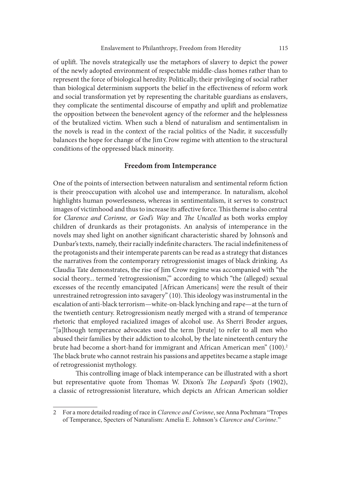of uplift. The novels strategically use the metaphors of slavery to depict the power of the newly adopted environment of respectable middle-class homes rather than to represent the force of biological heredity. Politically, their privileging of social rather than biological determinism supports the belief in the effectiveness of reform work and social transformation yet by representing the charitable guardians as enslavers, they complicate the sentimental discourse of empathy and uplit and problematize the opposition between the benevolent agency of the reformer and the helplessness of the brutalized victim. When such a blend of naturalism and sentimentalism in the novels is read in the context of the racial politics of the Nadir, it successfully balances the hope for change of the Jim Crow regime with attention to the structural conditions of the oppressed black minority.

# Freedom from Intemperance

One of the points of intersection between naturalism and sentimental reform fiction is their preoccupation with alcohol use and intemperance. In naturalism, alcohol highlights human powerlessness, whereas in sentimentalism, it serves to construct images of victimhood and thus to increase its affective force. This theme is also central for Clarence and Corinne, or God's Way and The Uncalled as both works employ children of drunkards as their protagonists. An analysis of intemperance in the novels may shed light on another significant characteristic shared by Johnson's and Dunbar's texts, namely, their racially indefinite characters. The racial indefiniteness of the protagonists and their intemperate parents can be read as a strategy that distances the narratives from the contemporary retrogressionist images of black drinking. As Claudia Tate demonstrates, the rise of Jim Crow regime was accompanied with "the social theory... termed 'retrogressionism," according to which "the (alleged) sexual excesses of the recently emancipated [African Americans] were the result of their unrestrained retrogression into savagery" (10). This ideology was instrumental in the escalation of anti-black terrorism—white-on-black lynching and rape—at the turn of the twentieth century. Retrogressionism neatly merged with a strand of temperance rhetoric that employed racialized images of alcohol use. As Sherri Broder argues, "[a]lthough temperance advocates used the term [brute] to refer to all men who abused their families by their addiction to alcohol, by the late nineteenth century the brute had become a short-hand for immigrant and African American men" (100).<sup>2</sup> The black brute who cannot restrain his passions and appetites became a staple image of retrogressionist mythology.

This controlling image of black intemperance can be illustrated with a short but representative quote from Thomas W. Dixon's The Leopard's Spots (1902), a classic of retrogressionist literature, which depicts an African American soldier

<sup>2</sup> For a more detailed reading of race in *Clarence and Corinne*, see Anna Pochmara "Tropes" of Temperance, Specters of Naturalism: Amelia E. Johnson's Clarence and Corinne."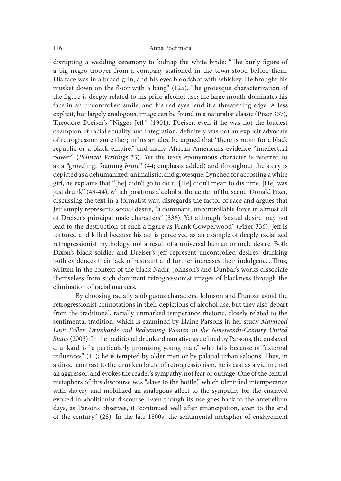disrupting a wedding ceremony to kidnap the white bride: "The burly figure of a big negro trooper from a company stationed in the town stood before them. His face was in a broad grin, and his eyes bloodshot with whiskey. He brought his musket down on the floor with a bang" (125). The grotesque characterization of the figure is deeply related to his prior alcohol use: the large mouth dominates his face in an uncontrolled smile, and his red eyes lend it a threatening edge. A less explicit, but largely analogous, image can be found in a naturalist classic (Pizer 337), Theodore Dreiser's "Nigger Jeff" (1901). Dreiser, even if he was not the loudest champion of racial equality and integration, definitely was not an explicit advocate of retrogressionism either; in his articles, he argued that "there is room for a black republic or a black empire," and many African Americans evidence "intellectual power" (Political Writings 33). Yet the text's eponymous character is referred to as a "groveling, foaming brute" (44; emphasis added) and throughout the story is depicted as a dehumanized, animalistic, and grotesque. Lynched for accosting a white girl, he explains that "[he] didn't go to do it. [He] didn't mean to dis time. [He] was just drunk" (43-44), which positions alcohol at the center of the scene. Donald Pizer, discussing the text in a formalist way, disregards the factor of race and argues that Jeff simply represents sexual desire, "a dominant, uncontrollable force in almost all of Dreiser's principal male characters" (336). Yet although "sexual desire may not lead to the destruction of such a figure as Frank Cowperwood" (Pizer 336), Jeff is tortured and killed because his act is perceived as an example of deeply racialized retrogressionist mythology, not a result of a universal human or male desire. Both Dixon's black soldier and Dreiser's Jeff represent uncontrolled desires: drinking both evidences their lack of restraint and further increases their indulgence. Thus, written in the context of the black Nadir, Johnson's and Dunbar's works dissociate themselves from such dominant retrogressionist images of blackness through the elimination of racial markers.

By choosing racially ambiguous characters, Johnson and Dunbar avoid the retrogressionist connotations in their depictions of alcohol use, but they also depart from the traditional, racially unmarked temperance rhetoric, closely related to the sentimental tradition, which is examined by Elaine Parsons in her study Manhood Lost: Fallen Drunkards and Redeeming Women in the Nineteenth-Century United States (2003). In the traditional drunkard narrative as defined by Parsons, the enslaved drunkard is "a particularly promising young man," who falls because of "external  $influences" (11);$  he is tempted by older men or by palatial urban saloons. Thus, in a direct contrast to the drunken brute of retrogressionism, he is cast as a victim, not an aggressor, and evokes the reader's sympathy, not fear or outrage. One of the central metaphors of this discourse was "slave to the bottle," which identified intemperance with slavery and mobilized an analogous affect to the sympathy for the enslaved evoked in abolitionist discourse. Even though its use goes back to the antebellum days, as Parsons observes, it "continued well ater emancipation, even to the end of the century" (28). In the late 1800s, the sentimental metaphor of enslavement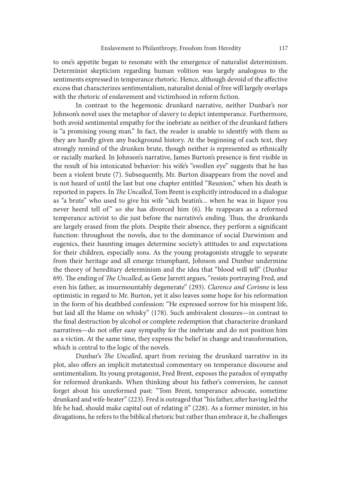to one's appetite began to resonate with the emergence of naturalist determinism. Determinist skepticism regarding human volition was largely analogous to the sentiments expressed in temperance rhetoric. Hence, although devoid of the affective excess that characterizes sentimentalism, naturalist denial of free will largely overlaps with the rhetoric of enslavement and victimhood in reform fiction.

In contrast to the hegemonic drunkard narrative, neither Dunbar's nor Johnson's novel uses the metaphor of slavery to depict intemperance. Furthermore, both avoid sentimental empathy for the inebriate as neither of the drunkard fathers is "a promising young man." In fact, the reader is unable to identify with them as they are hardly given any background history. At the beginning of each text, they strongly remind of the drunken brute, though neither is represented as ethnically or racially marked. In Johnson's narrative, James Burton's presence is first visible in the result of his intoxicated behavior: his wife's "swollen eye" suggests that he has been a violent brute (7). Subsequently, Mr. Burton disappears from the novel and is not heard of until the last but one chapter entitled "Reunion," when his death is reported in papers. In The Uncalled, Tom Brent is explicitly introduced in a dialogue as "a brute" who used to give his wife "sich beatin's... when he was in liquor you strongly remind of the drunken brute, though neither is represented as ethnically<br>or racially marked. In Johnson's narrative, James Burton's presence is first visible in<br>the result of his intoxicated behavior: his wife's " temperance activist to die just before the narrative's ending. Thus, the drunkards are largely erased from the plots. Despite their absence, they perform a significant function: throughout the novels, due to the dominance of social Darwinism and eugenics, their haunting images determine society's attitudes to and expectations for their children, especially sons. As the young protagonists struggle to separate from their heritage and all emerge triumphant, Johnson and Dunbar undermine the theory of hereditary determinism and the idea that "blood will tell" (Dunbar 69). The ending of The Uncalled, as Gene Jarrett argues, "resists portraying Fred, and even his father, as insurmountably degenerate" (293). Clarence and Corinne is less optimistic in regard to Mr. Burton, yet it also leaves some hope for his reformation in the form of his deathbed confession: "He expressed sorrow for his misspent life, but laid all the blame on whisky" (178). Such ambivalent closures—in contrast to the final destruction by alcohol or complete redemption that characterize drunkard narratives—do not offer easy sympathy for the inebriate and do not position him as a victim. At the same time, they express the belief in change and transformation, which is central to the logic of the novels.

Dunbar's The Uncalled, apart from revising the drunkard narrative in its plot, also offers an implicit metatextual commentary on temperance discourse and sentimentalism. Its young protagonist, Fred Brent, exposes the paradox of sympathy for reformed drunkards. When thinking about his father's conversion, he cannot forget about his unreformed past: "Tom Brent, temperance advocate, sometime drunkard and wife-beater" (223). Fred is outraged that "his father, after having led the life he had, should make capital out of relating it" (228). As a former minister, in his divagations, he refers to the biblical rhetoric but rather than embrace it, he challenges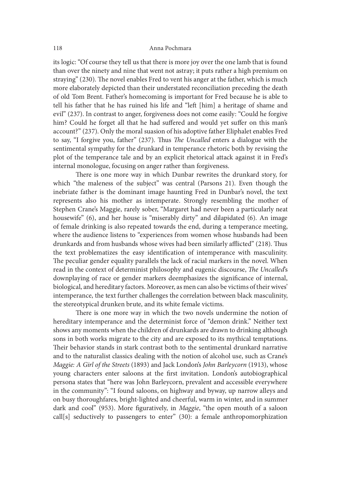its logic: "Of course they tell us that there is more joy over the one lamb that is found than over the ninety and nine that went not astray; it puts rather a high premium on straying" (230). The novel enables Fred to vent his anger at the father, which is much more elaborately depicted than their understated reconciliation preceding the death of old Tom Brent. Father's homecoming is important for Fred because he is able to tell his father that he has ruined his life and "let [him] a heritage of shame and evil" (237). In contrast to anger, forgiveness does not come easily: "Could he forgive him? Could he forget all that he had suffered and would yet suffer on this man's account?" (237). Only the moral suasion of his adoptive father Eliphalet enables Fred to say, "I forgive you, father" (237). Thus The Uncalled enters a dialogue with the sentimental sympathy for the drunkard in temperance rhetoric both by revising the plot of the temperance tale and by an explicit rhetorical attack against it in Fred's internal monologue, focusing on anger rather than forgiveness.

There is one more way in which Dunbar rewrites the drunkard story, for which "the maleness of the subject" was central (Parsons 21). Even though the inebriate father is the dominant image haunting Fred in Dunbar's novel, the text represents also his mother as intemperate. Strongly resembling the mother of Stephen Crane's Maggie, rarely sober, "Margaret had never been a particularly neat housewife" (6), and her house is "miserably dirty" and dilapidated (6). An image of female drinking is also repeated towards the end, during a temperance meeting, where the audience listens to "experiences from women whose husbands had been drunkards and from husbands whose wives had been similarly afflicted" (218). Thus the text problematizes the easy identification of intemperance with masculinity. The peculiar gender equality parallels the lack of racial markers in the novel. When read in the context of determinist philosophy and eugenic discourse, The Uncalled's downplaying of race or gender markers deemphasizes the significance of internal, biological, and hereditary factors. Moreover, as men can also be victims of their wives' intemperance, the text further challenges the correlation between black masculinity, the stereotypical drunken brute, and its white female victims.

There is one more way in which the two novels undermine the notion of hereditary intemperance and the determinist force of "demon drink." Neither text shows any moments when the children of drunkards are drawn to drinking although sons in both works migrate to the city and are exposed to its mythical temptations. Their behavior stands in stark contrast both to the sentimental drunkard narrative and to the naturalist classics dealing with the notion of alcohol use, such as Crane's Maggie: A Girl of the Streets (1893) and Jack London's John Barleycorn (1913), whose young characters enter saloons at the first invitation. London's autobiographical persona states that "here was John Barleycorn, prevalent and accessible everywhere in the community": "I found saloons, on highway and byway, up narrow alleys and on busy thoroughfares, bright-lighted and cheerful, warm in winter, and in summer dark and cool" (953). More figuratively, in Maggie, "the open mouth of a saloon call[s] seductively to passengers to enter" (30): a female anthropomorphization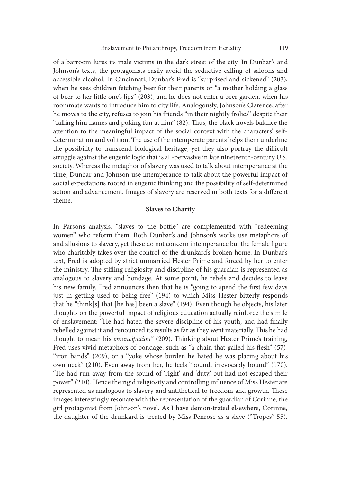of a barroom lures its male victims in the dark street of the city. In Dunbar's and Johnson's texts, the protagonists easily avoid the seductive calling of saloons and accessible alcohol. In Cincinnati, Dunbar's Fred is "surprised and sickened" (203), when he sees children fetching beer for their parents or "a mother holding a glass of beer to her little one's lips" (203), and he does not enter a beer garden, when his roommate wants to introduce him to city life. Analogously, Johnson's Clarence, ater he moves to the city, refuses to join his friends "in their nightly frolics" despite their "calling him names and poking fun at him" (82). Thus, the black novels balance the attention to the meaningful impact of the social context with the characters' selfdetermination and volition. The use of the intemperate parents helps them underline the possibility to transcend biological heritage, yet they also portray the difficult struggle against the eugenic logic that is all-pervasive in late nineteenth-century U.S. society. Whereas the metaphor of slavery was used to talk about intemperance at the time, Dunbar and Johnson use intemperance to talk about the powerful impact of social expectations rooted in eugenic thinking and the possibility of self-determined action and advancement. Images of slavery are reserved in both texts for a different theme.

# Slaves to Charity

In Parson's analysis, "slaves to the bottle" are complemented with "redeeming women" who reform them. Both Dunbar's and Johnson's works use metaphors of and allusions to slavery, yet these do not concern intemperance but the female figure who charitably takes over the control of the drunkard's broken home. In Dunbar's text, Fred is adopted by strict unmarried Hester Prime and forced by her to enter the ministry. The stifling religiosity and discipline of his guardian is represented as analogous to slavery and bondage. At some point, he rebels and decides to leave his new family. Fred announces then that he is "going to spend the first few days just in getting used to being free" (194) to which Miss Hester bitterly responds that he "think[s] that [he has] been a slave" (194). Even though he objects, his later thoughts on the powerful impact of religious education actually reinforce the simile of enslavement: "He had hated the severe discipline of his youth, and had finally rebelled against it and renounced its results as far as they went materially. This he had thought to mean his emancipation" (209). Thinking about Hester Prime's training, Fred uses vivid metaphors of bondage, such as "a chain that galled his flesh" (57), "iron bands" (209), or a "yoke whose burden he hated he was placing about his own neck" (210). Even away from her, he feels "bound, irrevocably bound" (170). "He had run away from the sound of 'right' and 'duty,' but had not escaped their power" (210). Hence the rigid religiosity and controlling influence of Miss Hester are represented as analogous to slavery and antithetical to freedom and growth. These images interestingly resonate with the representation of the guardian of Corinne, the girl protagonist from Johnson's novel. As I have demonstrated elsewhere, Corinne, the daughter of the drunkard is treated by Miss Penrose as a slave ("Tropes" 55).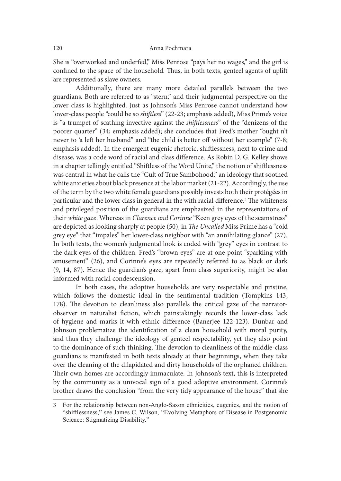She is "overworked and underfed," Miss Penrose "pays her no wages," and the girl is confined to the space of the household. Thus, in both texts, genteel agents of uplift are represented as slave owners.

Additionally, there are many more detailed parallels between the two guardians. Both are referred to as "stern," and their judgmental perspective on the lower class is highlighted. Just as Johnson's Miss Penrose cannot understand how lower-class people "could be so shiftless" (22-23; emphasis added), Miss Prime's voice is "a trumpet of scathing invective against the *shiftlessness*" of the "denizens of the poorer quarter" (34; emphasis added); she concludes that Fred's mother "ought n't never to 'a left her husband" and "the child is better off without her example" (7-8; emphasis added). In the emergent eugenic rhetoric, shitlessness, next to crime and disease, was a code word of racial and class difference. As Robin D. G. Kelley shows in a chapter tellingly entitled "Shitless of the Word Unite," the notion of shitlessness was central in what he calls the "Cult of True Sambohood," an ideology that soothed white anxieties about black presence at the labor market (21-22). Accordingly, the use of the term by the two white female guardians possibly invests both their protégées in particular and the lower class in general in the with racial difference.<sup>3</sup> The whiteness and privileged position of the guardians are emphasized in the representations of their white gaze. Whereas in Clarence and Corinne "Keen grey eyes of the seamstress" are depicted as looking sharply at people (50), in The Uncalled Miss Prime has a "cold grey eye" that "impales" her lower-class neighbor with "an annihilating glance" (27). In both texts, the women's judgmental look is coded with "grey" eyes in contrast to the dark eyes of the children. Fred's "brown eyes" are at one point "sparkling with amusement" (26), and Corinne's eyes are repeatedly referred to as black or dark (9, 14, 87). Hence the guardian's gaze, apart from class superiority, might be also informed with racial condescension.

In both cases, the adoptive households are very respectable and pristine, which follows the domestic ideal in the sentimental tradition (Tompkins 143, 178). The devotion to cleanliness also parallels the critical gaze of the narratorobserver in naturalist fiction, which painstakingly records the lower-class lack of hygiene and marks it with ethnic difference (Banerjee 122-123). Dunbar and Johnson problematize the identification of a clean household with moral purity, and thus they challenge the ideology of genteel respectability, yet they also point to the dominance of such thinking. The devotion to cleanliness of the middle-class guardians is manifested in both texts already at their beginnings, when they take over the cleaning of the dilapidated and dirty households of the orphaned children. Their own homes are accordingly immaculate. In Johnson's text, this is interpreted by the community as a univocal sign of a good adoptive environment. Corinne's brother draws the conclusion "from the very tidy appearance of the house" that she

<sup>3</sup> For the relationship between non-Anglo-Saxon ethnicities, eugenics, and the notion of "shiftlessness," see James C. Wilson, "Evolving Metaphors of Disease in Postgenomic Science: Stigmatizing Disability."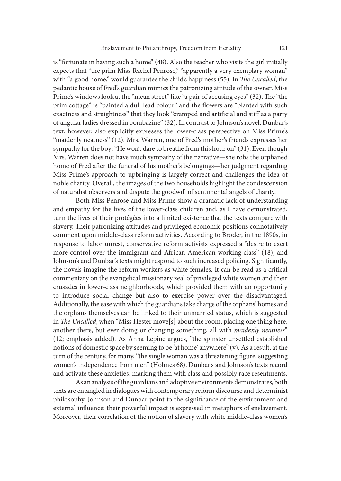is "fortunate in having such a home" (48). Also the teacher who visits the girl initially expects that "the prim Miss Rachel Penrose," "apparently a very exemplary woman" with "a good home," would guarantee the child's happiness (55). In The Uncalled, the pedantic house of Fred's guardian mimics the patronizing attitude of the owner. Miss Prime's windows look at the "mean street" like "a pair of accusing eyes" (32). The "the prim cottage" is "painted a dull lead colour" and the flowers are "planted with such exactness and straightness" that they look "cramped and artificial and stiff as a party of angular ladies dressed in bombazine" (32). In contrast to Johnson's novel, Dunbar's text, however, also explicitly expresses the lower-class perspective on Miss Prime's "maidenly neatness" (12). Mrs. Warren, one of Fred's mother's friends expresses her sympathy for the boy: "He won't dare to breathe from this hour on" (31). Even though Mrs. Warren does not have much sympathy of the narrative—she robs the orphaned home of Fred ater the funeral of his mother's belongings—her judgment regarding Miss Prime's approach to upbringing is largely correct and challenges the idea of noble charity. Overall, the images of the two households highlight the condescension of naturalist observers and dispute the goodwill of sentimental angels of charity.

Both Miss Penrose and Miss Prime show a dramatic lack of understanding and empathy for the lives of the lower-class children and, as I have demonstrated, turn the lives of their protégées into a limited existence that the texts compare with slavery. Their patronizing attitudes and privileged economic positions connotatively comment upon middle-class reform activities. According to Broder, in the 1890s, in response to labor unrest, conservative reform activists expressed a "desire to exert more control over the immigrant and African American working class" (18), and Johnson's and Dunbar's texts might respond to such increased policing. Significantly, the novels imagine the reform workers as white females. It can be read as a critical commentary on the evangelical missionary zeal of privileged white women and their crusades in lower-class neighborhoods, which provided them with an opportunity to introduce social change but also to exercise power over the disadvantaged. Additionally, the ease with which the guardians take charge of the orphans' homes and the orphans themselves can be linked to their unmarried status, which is suggested in The Uncalled, when "Miss Hester move[s] about the room, placing one thing here, another there, but ever doing or changing something, all with maidenly neatness" (12; emphasis added). As Anna Lepine argues, "the spinster unsettled established notions of domestic space by seeming to be 'at home' anywhere" (v). As a result, at the turn of the century, for many, "the single woman was a threatening figure, suggesting women's independence from men" (Holmes 68). Dunbar's and Johnson's texts record and activate these anxieties, marking them with class and possibly race resentments.

As an analysis of the guardians and adoptive environments demonstrates, both texts are entangled in dialogues with contemporary reform discourse and determinist philosophy. Johnson and Dunbar point to the significance of the environment and external influence: their powerful impact is expressed in metaphors of enslavement. Moreover, their correlation of the notion of slavery with white middle-class women's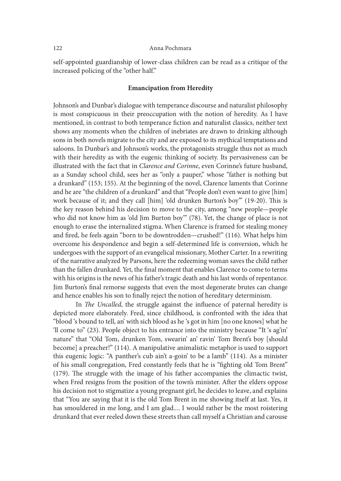### 122 Anna Pochmara

self-appointed guardianship of lower-class children can be read as a critique of the increased policing of the "other half."

## Emancipation from Heredity

Johnson's and Dunbar's dialogue with temperance discourse and naturalist philosophy is most conspicuous in their preoccupation with the notion of heredity. As I have mentioned, in contrast to both temperance fiction and naturalist classics, neither text shows any moments when the children of inebriates are drawn to drinking although sons in both novels migrate to the city and are exposed to its mythical temptations and saloons. In Dunbar's and Johnson's works, the protagonists struggle thus not as much with their heredity as with the eugenic thinking of society. Its pervasiveness can be illustrated with the fact that in Clarence and Corinne, even Corinne's future husband, as a Sunday school child, sees her as "only a pauper," whose "father is nothing but a drunkard" (153; 155). At the beginning of the novel, Clarence laments that Corinne and he are "the children of a drunkard" and that "People don't even want to give [him] work because of it; and they call [him] 'old drunken Burton's boy" (19-20). This is the key reason behind his decision to move to the city, among "new people—people who did not know him as 'old Jim Burton boy'" (78). Yet, the change of place is not enough to erase the internalized stigma. When Clarence is framed for stealing money and fired, he feels again "born to be downtrodden—crushed!" (116). What helps him overcome his despondence and begin a self-determined life is conversion, which he undergoes with the support of an evangelical missionary, Mother Carter. In a rewriting of the narrative analyzed by Parsons, here the redeeming woman saves the child rather than the fallen drunkard. Yet, the final moment that enables Clarence to come to terms with his origins is the news of his father's tragic death and his last words of repentance. Jim Burton's final remorse suggests that even the most degenerate brutes can change and hence enables his son to finally reject the notion of hereditary determinism.

In The Uncalled, the struggle against the influence of paternal heredity is depicted more elaborately. Fred, since childhood, is confronted with the idea that "blood 's bound to tell, an' with sich blood as he 's got in him [no one knows] what he 'll come to" (23). People object to his entrance into the ministry because "It 's ag'in' nature" that "Old Tom, drunken Tom, swearin' an' ravin' Tom Brent's boy [should become] a preacher!" (114). A manipulative animalistic metaphor is used to support this eugenic logic: "A panther's cub ain't a-goin' to be a lamb" (114). As a minister of his small congregation, Fred constantly feels that he is "fighting old Tom Brent"  $(179)$ . The struggle with the image of his father accompanies the climactic twist, when Fred resigns from the position of the town's minister. After the elders oppose his decision not to stigmatize a young pregnant girl, he decides to leave, and explains that "You are saying that it is the old Tom Brent in me showing itself at last. Yes, it has smouldered in me long, and I am glad.... I would rather be the most roistering drunkard that ever reeled down these streets than call myself a Christian and carouse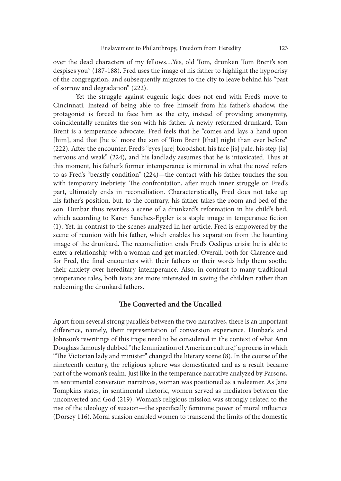over the dead characters of my fellows....Yes, old Tom, drunken Tom Brent's son despises you" (187-188). Fred uses the image of his father to highlight the hypocrisy of the congregation, and subsequently migrates to the city to leave behind his "past of sorrow and degradation" (222).

Yet the struggle against eugenic logic does not end with Fred's move to Cincinnati. Instead of being able to free himself from his father's shadow, the protagonist is forced to face him as the city, instead of providing anonymity, coincidentally reunites the son with his father. A newly reformed drunkard, Tom Brent is a temperance advocate. Fred feels that he "comes and lays a hand upon [him], and that [he is] more the son of Tom Brent [that] night than ever before" (222). Ater the encounter, Fred's "eyes [are] bloodshot, his face [is] pale, his step [is] nervous and weak" (224), and his landlady assumes that he is intoxicated. Thus at this moment, his father's former intemperance is mirrored in what the novel refers to as Fred's "beastly condition" (224)—the contact with his father touches the son with temporary inebriety. The confrontation, after much inner struggle on Fred's part, ultimately ends in reconciliation. Characteristically, Fred does not take up his father's position, but, to the contrary, his father takes the room and bed of the son. Dunbar thus rewrites a scene of a drunkard's reformation in his child's bed, which according to Karen Sanchez-Eppler is a staple image in temperance fiction (1). Yet, in contrast to the scenes analyzed in her article, Fred is empowered by the scene of reunion with his father, which enables his separation from the haunting image of the drunkard. The reconciliation ends Fred's Oedipus crisis: he is able to enter a relationship with a woman and get married. Overall, both for Clarence and for Fred, the final encounters with their fathers or their words help them soothe their anxiety over hereditary intemperance. Also, in contrast to many traditional temperance tales, both texts are more interested in saving the children rather than redeeming the drunkard fathers.

# The Converted and the Uncalled

Apart from several strong parallels between the two narratives, there is an important difference, namely, their representation of conversion experience. Dunbar's and Johnson's rewritings of this trope need to be considered in the context of what Ann Douglass famously dubbed "the feminization of American culture," a process in which "The Victorian lady and minister" changed the literary scene (8). In the course of the nineteenth century, the religious sphere was domesticated and as a result became part of the woman's realm. Just like in the temperance narrative analyzed by Parsons, in sentimental conversion narratives, woman was positioned as a redeemer. As Jane Tompkins states, in sentimental rhetoric, women served as mediators between the unconverted and God (219). Woman's religious mission was strongly related to the rise of the ideology of suasion—the specifically feminine power of moral influence (Dorsey 116). Moral suasion enabled women to transcend the limits of the domestic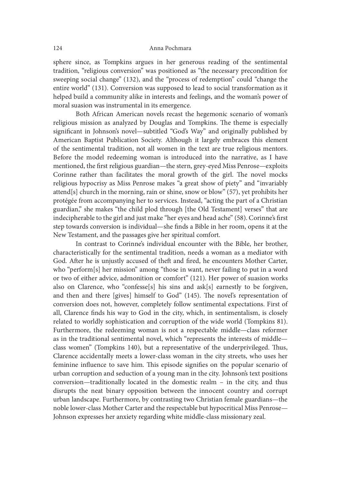sphere since, as Tompkins argues in her generous reading of the sentimental tradition, "religious conversion" was positioned as "the necessary precondition for sweeping social change" (132), and the "process of redemption" could "change the entire world" (131). Conversion was supposed to lead to social transformation as it helped build a community alike in interests and feelings, and the woman's power of moral suasion was instrumental in its emergence.

Both African American novels recast the hegemonic scenario of woman's religious mission as analyzed by Douglas and Tompkins. The theme is especially significant in Johnson's novel—subtitled "God's Way" and originally published by American Baptist Publication Society. Although it largely embraces this element of the sentimental tradition, not all women in the text are true religious mentors. Before the model redeeming woman is introduced into the narrative, as I have mentioned, the first religious guardian—the stern, grey-eyed Miss Penrose—exploits Corinne rather than facilitates the moral growth of the girl. The novel mocks religious hypocrisy as Miss Penrose makes "a great show of piety" and "invariably attend[s] church in the morning, rain or shine, snow or blow" (57), yet prohibits her protégée from accompanying her to services. Instead, "acting the part of a Christian guardian," she makes "the child plod through [the Old Testament] verses" that are indecipherable to the girl and just make "her eyes and head ache" (58). Corinne's first step towards conversion is individual—she finds a Bible in her room, opens it at the New Testament, and the passages give her spiritual comfort.

In contrast to Corinne's individual encounter with the Bible, her brother, characteristically for the sentimental tradition, needs a woman as a mediator with God. After he is unjustly accused of theft and fired, he encounters Mother Carter, who "perform[s] her mission" among "those in want, never failing to put in a word or two of either advice, admonition or comfort" (121). Her power of suasion works also on Clarence, who "confesse[s] his sins and ask[s] earnestly to be forgiven, and then and there [gives] himself to God" (145). The novel's representation of conversion does not, however, completely follow sentimental expectations. First of all, Clarence finds his way to God in the city, which, in sentimentalism, is closely related to worldly sophistication and corruption of the wide world (Tompkins 81). Furthermore, the redeeming woman is not a respectable middle—class reformer as in the traditional sentimental novel, which "represents the interests of middle class women" (Tompkins 140), but a representative of the underprivileged. Thus, Clarence accidentally meets a lower-class woman in the city streets, who uses her feminine influence to save him. This episode signifies on the popular scenario of urban corruption and seduction of a young man in the city. Johnson's text positions conversion—traditionally located in the domestic realm – in the city, and thus disrupts the neat binary opposition between the innocent country and corrupt urban landscape. Furthermore, by contrasting two Christian female guardians—the noble lower-class Mother Carter and the respectable but hypocritical Miss Penrose— Johnson expresses her anxiety regarding white middle-class missionary zeal.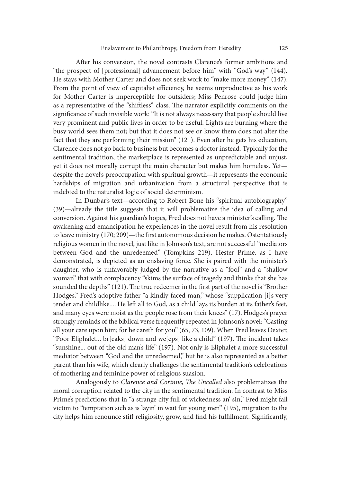Ater his conversion, the novel contrasts Clarence's former ambitions and "the prospect of [professional] advancement before him" with "God's way" (144). He stays with Mother Carter and does not seek work to "make more money" (147). From the point of view of capitalist efficiency, he seems unproductive as his work for Mother Carter is imperceptible for outsiders; Miss Penrose could judge him as a representative of the "shiftless" class. The narrator explicitly comments on the significance of such invisible work: "It is not always necessary that people should live very prominent and public lives in order to be useful. Lights are burning where the busy world sees them not; but that it does not see or know them does not alter the fact that they are performing their mission" (121). Even after he gets his education, Clarence does not go back to business but becomes a doctor instead. Typically for the sentimental tradition, the marketplace is represented as unpredictable and unjust, yet it does not morally corrupt the main character but makes him homeless. Yet despite the novel's preoccupation with spiritual growth—it represents the economic hardships of migration and urbanization from a structural perspective that is indebted to the naturalist logic of social determinism.

In Dunbar's text—according to Robert Bone his "spiritual autobiography" (39)—already the title suggests that it will problematize the idea of calling and conversion. Against his guardian's hopes, Fred does not have a minister's calling. The awakening and emancipation he experiences in the novel result from his resolution to leave ministry (170; 209)—the first autonomous decision he makes. Ostentatiously religious women in the novel, just like in Johnson's text, are not successful "mediators between God and the unredeemed" (Tompkins 219). Hester Prime, as I have demonstrated, is depicted as an enslaving force. She is paired with the minister's daughter, who is unfavorably judged by the narrative as a "fool" and a "shallow woman" that with complacency "skims the surface of tragedy and thinks that she has sounded the depths" (121). The true redeemer in the first part of the novel is "Brother Hodges," Fred's adoptive father "a kindly-faced man," whose "supplication [i]s very tender and childlike.... He left all to God, as a child lays its burden at its father's feet, and many eyes were moist as the people rose from their knees" (17). Hodges's prayer strongly reminds of the biblical verse frequently repeated in Johnson's novel: "Casting all your care upon him; for he careth for you" (65, 73, 109). When Fred leaves Dexter, "Poor Eliphalet... br[eaks] down and we[eps] like a child" (197). The incident takes "sunshine... out of the old man's life" (197). Not only is Eliphalet a more successful mediator between "God and the unredeemed," but he is also represented as a better parent than his wife, which clearly challenges the sentimental tradition's celebrations of mothering and feminine power of religious suasion.

Analogously to Clarence and Corinne, The Uncalled also problematizes the moral corruption related to the city in the sentimental tradition. In contrast to Miss Prime's predictions that in "a strange city full of wickedness an' sin," Fred might fall victim to "temptation sich as is layin' in wait fur young men" (195), migration to the city helps him renounce stiff religiosity, grow, and find his fulfillment. Significantly,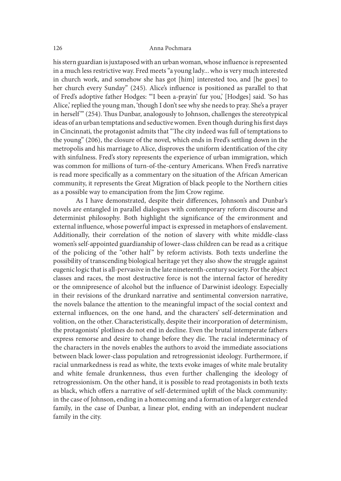his stern guardian is juxtaposed with an urban woman, whose influence is represented in a much less restrictive way. Fred meets "a young lady... who is very much interested in church work, and somehow she has got [him] interested too, and [he goes] to her church every Sunday" (245). Alice's in{uence is positioned as parallel to that of Fred's adoptive father Hodges: "'I been a-prayin' fur you,' [Hodges] said. 'So has Alice,' replied the young man, 'though I don't see why she needs to pray. She's a prayer <sup>2150</sup><br>
his stern guardian is juxtaposed with an urban woman, whose influence is represented<br>
in a much less restrictive way. Fred meets "a young lady... who is very much interested<br>
in church work, and somehow she has got ideas of an urban temptations and seductive women. Even though during his first days in Cincinnati, the protagonist admits that "The city indeed was full of temptations to the young" (206), the closure of the novel, which ends in Fred's settling down in the metropolis and his marriage to Alice, disproves the uniform identification of the city with sinfulness. Fred's story represents the experience of urban immigration, which was common for millions of turn-of-the-century Americans. When Fred's narrative is read more specifically as a commentary on the situation of the African American community, it represents the Great Migration of black people to the Northern cities as a possible way to emancipation from the Jim Crow regime.

As I have demonstrated, despite their differences, Johnson's and Dunbar's novels are entangled in parallel dialogues with contemporary reform discourse and determinist philosophy. Both highlight the significance of the environment and external influence, whose powerful impact is expressed in metaphors of enslavement. Additionally, their correlation of the notion of slavery with white middle-class women's self-appointed guardianship of lower-class children can be read as a critique as a possible way to emancipation from the Jim Crow regime.<br>
As I have demonstrated, despite their differences, Johnson's and Dunbar's<br>
novels are entangled in parallel dialogues with contemporary reform discourse and<br>
det possibility of transcending biological heritage yet they also show the struggle against eugenic logic that is all-pervasive in the late nineteenth-century society. For the abject classes and races, the most destructive force is not the internal factor of heredity or the omnipresence of alcohol but the in{uence of Darwinist ideology. Especially in their revisions of the drunkard narrative and sentimental conversion narrative, the novels balance the attention to the meaningful impact of the social context and external influences, on the one hand, and the characters' self-determination and volition, on the other. Characteristically, despite their incorporation of determinism, the protagonists' plotlines do not end in decline. Even the brutal intemperate fathers express remorse and desire to change before they die. The racial indeterminacy of the characters in the novels enables the authors to avoid the immediate associations between black lower-class population and retrogressionist ideology. Furthermore, if racial unmarkedness is read as white, the texts evoke images of white male brutality and white female drunkenness, thus even further challenging the ideology of retrogressionism. On the other hand, it is possible to read protagonists in both texts as black, which offers a narrative of self-determined uplift of the black community: in the case of Johnson, ending in a homecoming and a formation of a larger extended family, in the case of Dunbar, a linear plot, ending with an independent nuclear family in the city.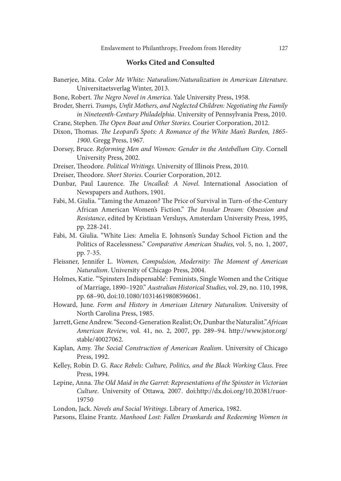# Works Cited and Consulted

- Banerjee, Mita. Color Me White: Naturalism/Naturalization in American Literature. Universitaetsverlag Winter, 2013.
- Bone, Robert. The Negro Novel in America. Yale University Press, 1958.
- Broder, Sherri. Tramps, Unfit Mothers, and Neglected Children: Negotiating the Family in Nineteenth-Century Philadelphia. University of Pennsylvania Press, 2010.
- Crane, Stephen. The Open Boat and Other Stories. Courier Corporation, 2012.
- Dixon, Thomas. The Leopard's Spots: A Romance of the White Man's Burden, 1865-1900. Gregg Press, 1967.
- Dorsey, Bruce. Reforming Men and Women: Gender in the Antebellum City. Cornell University Press, 2002.
- Dreiser, Theodore. Political Writings. University of Illinois Press, 2010.
- Dreiser, Theodore. Short Stories. Courier Corporation, 2012.
- Dunbar, Paul Laurence. The Uncalled: A Novel. International Association of Newspapers and Authors, 1901.
- Fabi, M. Giulia. "Taming the Amazon? The Price of Survival in Turn-of-the-Century African American Women's Fiction." The Insular Dream: Obsession and Resistance, edited by Kristiaan Versluys, Amsterdam University Press, 1995, pp. 228-241.
- Fabi, M. Giulia. "White Lies: Amelia E. Johnson's Sunday School Fiction and the Politics of Racelessness." Comparative American Studies, vol. 5, no. 1, 2007, pp. 7-35.
- Fleissner, Jennifer L. Women, Compulsion, Modernity: The Moment of American Naturalism. University of Chicago Press, 2004.
- Holmes, Katie. "'Spinsters Indispensable': Feminists, Single Women and the Critique of Marriage, 1890–1920." Australian Historical Studies, vol. 29, no. 110, 1998, pp. 68–90, doi:10.1080/10314619808596061.
- Howard, June. Form and History in American Literary Naturalism. University of North Carolina Press, 1985.
- Jarrett, Gene Andrew. "Second-Generation Realist; Or, Dunbar the Naturalist."African American Review, vol. 41, no. 2, 2007, pp. 289–94. http://www.jstor.org/ stable/40027062.
- Kaplan, Amy. The Social Construction of American Realism. University of Chicago Press, 1992.
- Kelley, Robin D. G. Race Rebels: Culture, Politics, and the Black Working Class. Free Press, 1994.
- Lepine, Anna. The Old Maid in the Garret: Representations of the Spinster in Victorian Culture. University of Ottawa, 2007. doi:http://dx.doi.org/10.20381/ruor-19750
- London, Jack. Novels and Social Writings. Library of America, 1982.

Parsons, Elaine Frantz. Manhood Lost: Fallen Drunkards and Redeeming Women in